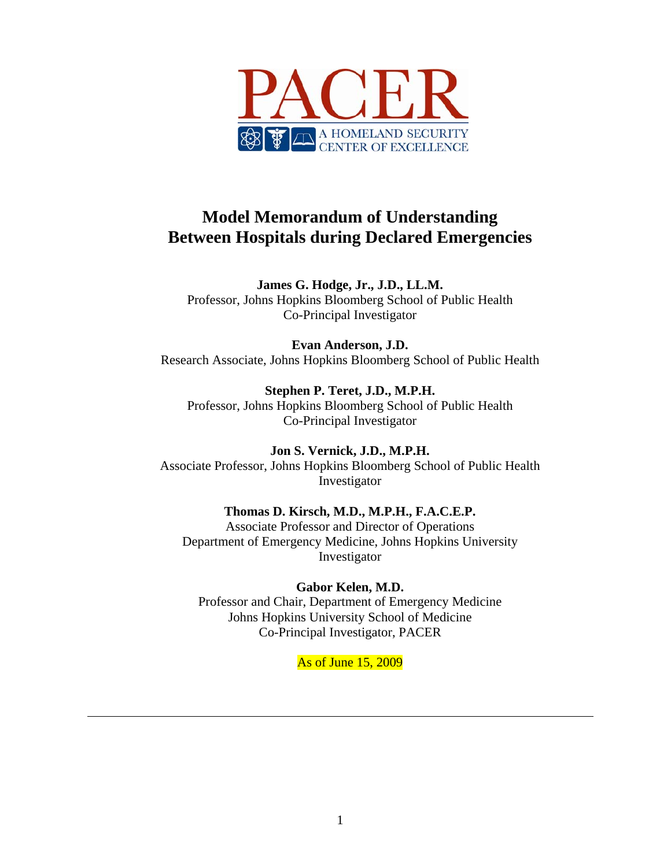

# **Model Memorandum of Understanding Between Hospitals during Declared Emergencies**

**James G. Hodge, Jr., J.D., LL.M.**  Professor, Johns Hopkins Bloomberg School of Public Health Co-Principal Investigator

**Evan Anderson, J.D.**  Research Associate, Johns Hopkins Bloomberg School of Public Health

**Stephen P. Teret, J.D., M.P.H.**  Professor, Johns Hopkins Bloomberg School of Public Health Co-Principal Investigator

**Jon S. Vernick, J.D., M.P.H.**  Associate Professor, Johns Hopkins Bloomberg School of Public Health Investigator

**Thomas D. Kirsch, M.D., M.P.H., F.A.C.E.P.**  Associate Professor and Director of Operations Department of Emergency Medicine, Johns Hopkins University Investigator

**Gabor Kelen, M.D.**  Professor and Chair, Department of Emergency Medicine Johns Hopkins University School of Medicine Co-Principal Investigator, PACER

As of June 15, 2009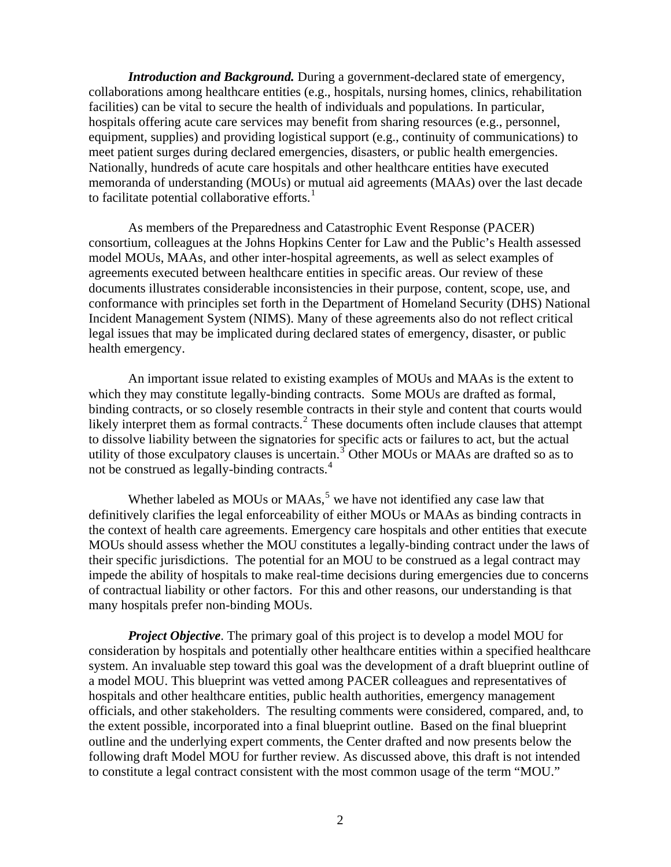*Introduction and Background.* During a government-declared state of emergency, collaborations among healthcare entities (e.g., hospitals, nursing homes, clinics, rehabilitation facilities) can be vital to secure the health of individuals and populations. In particular, hospitals offering acute care services may benefit from sharing resources (e.g., personnel, equipment, supplies) and providing logistical support (e.g., continuity of communications) to meet patient surges during declared emergencies, disasters, or public health emergencies. Nationally, hundreds of acute care hospitals and other healthcare entities have executed memoranda of understanding (MOUs) or mutual aid agreements (MAAs) over the last decade to facilitate potential collaborative efforts. $1$ 

As members of the Preparedness and Catastrophic Event Response (PACER) consortium, colleagues at the Johns Hopkins Center for Law and the Public's Health assessed model MOUs, MAAs, and other inter-hospital agreements, as well as select examples of agreements executed between healthcare entities in specific areas. Our review of these documents illustrates considerable inconsistencies in their purpose, content, scope, use, and conformance with principles set forth in the Department of Homeland Security (DHS) National Incident Management System (NIMS). Many of these agreements also do not reflect critical legal issues that may be implicated during declared states of emergency, disaster, or public health emergency.

An important issue related to existing examples of MOUs and MAAs is the extent to which they may constitute legally-binding contracts. Some MOUs are drafted as formal, binding contracts, or so closely resemble contracts in their style and content that courts would likely interpret them as formal contracts.<sup>[2](#page-18-1)</sup> These documents often include clauses that attempt to dissolve liability between the signatories for specific acts or failures to act, but the actual utility of those exculpatory clauses is uncertain.<sup>[3](#page-18-1)</sup> Other MOUs or MAAs are drafted so as to not be construed as legally-binding contracts.<sup>[4](#page-18-1)</sup>

Whether labeled as MOUs or  $MAAs$ ,<sup>[5](#page-18-1)</sup> we have not identified any case law that definitively clarifies the legal enforceability of either MOUs or MAAs as binding contracts in the context of health care agreements. Emergency care hospitals and other entities that execute MOUs should assess whether the MOU constitutes a legally-binding contract under the laws of their specific jurisdictions. The potential for an MOU to be construed as a legal contract may impede the ability of hospitals to make real-time decisions during emergencies due to concerns of contractual liability or other factors. For this and other reasons, our understanding is that many hospitals prefer non-binding MOUs.

*Project Objective*. The primary goal of this project is to develop a model MOU for consideration by hospitals and potentially other healthcare entities within a specified healthcare system. An invaluable step toward this goal was the development of a draft blueprint outline of a model MOU. This blueprint was vetted among PACER colleagues and representatives of hospitals and other healthcare entities, public health authorities, emergency management officials, and other stakeholders. The resulting comments were considered, compared, and, to the extent possible, incorporated into a final blueprint outline. Based on the final blueprint outline and the underlying expert comments, the Center drafted and now presents below the following draft Model MOU for further review. As discussed above, this draft is not intended to constitute a legal contract consistent with the most common usage of the term "MOU."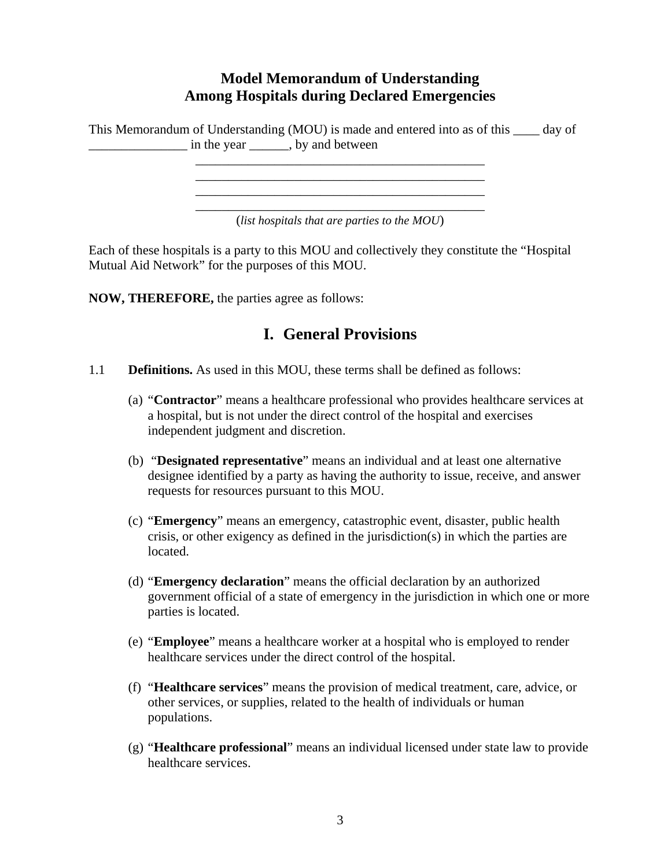## **Model Memorandum of Understanding Among Hospitals during Declared Emergencies**

This Memorandum of Understanding (MOU) is made and entered into as of this \_\_\_\_ day of \_\_\_\_\_\_\_\_\_\_\_\_\_\_\_ in the year \_\_\_\_\_\_, by and between

> \_\_\_\_\_\_\_\_\_\_\_\_\_\_\_\_\_\_\_\_\_\_\_\_\_\_\_\_\_\_\_\_\_\_\_\_\_\_\_\_\_\_\_\_ (*list hospitals that are parties to the MOU*)

> \_\_\_\_\_\_\_\_\_\_\_\_\_\_\_\_\_\_\_\_\_\_\_\_\_\_\_\_\_\_\_\_\_\_\_\_\_\_\_\_\_\_\_\_ \_\_\_\_\_\_\_\_\_\_\_\_\_\_\_\_\_\_\_\_\_\_\_\_\_\_\_\_\_\_\_\_\_\_\_\_\_\_\_\_\_\_\_\_ \_\_\_\_\_\_\_\_\_\_\_\_\_\_\_\_\_\_\_\_\_\_\_\_\_\_\_\_\_\_\_\_\_\_\_\_\_\_\_\_\_\_\_\_

Each of these hospitals is a party to this MOU and collectively they constitute the "Hospital Mutual Aid Network" for the purposes of this MOU.

**NOW, THEREFORE,** the parties agree as follows:

## **I. General Provisions**

- 1.1 **Definitions.** As used in this MOU, these terms shall be defined as follows:
	- (a) "**Contractor**" means a healthcare professional who provides healthcare services at a hospital, but is not under the direct control of the hospital and exercises independent judgment and discretion.
	- (b) "**Designated representative**" means an individual and at least one alternative designee identified by a party as having the authority to issue, receive, and answer requests for resources pursuant to this MOU.
	- (c) "**Emergency**" means an emergency, catastrophic event, disaster, public health crisis, or other exigency as defined in the jurisdiction(s) in which the parties are located.
	- (d) "**Emergency declaration**" means the official declaration by an authorized government official of a state of emergency in the jurisdiction in which one or more parties is located.
	- (e) "**Employee**" means a healthcare worker at a hospital who is employed to render healthcare services under the direct control of the hospital.
	- (f) "**Healthcare services**" means the provision of medical treatment, care, advice, or other services, or supplies, related to the health of individuals or human populations.
	- (g) "**Healthcare professional**" means an individual licensed under state law to provide healthcare services.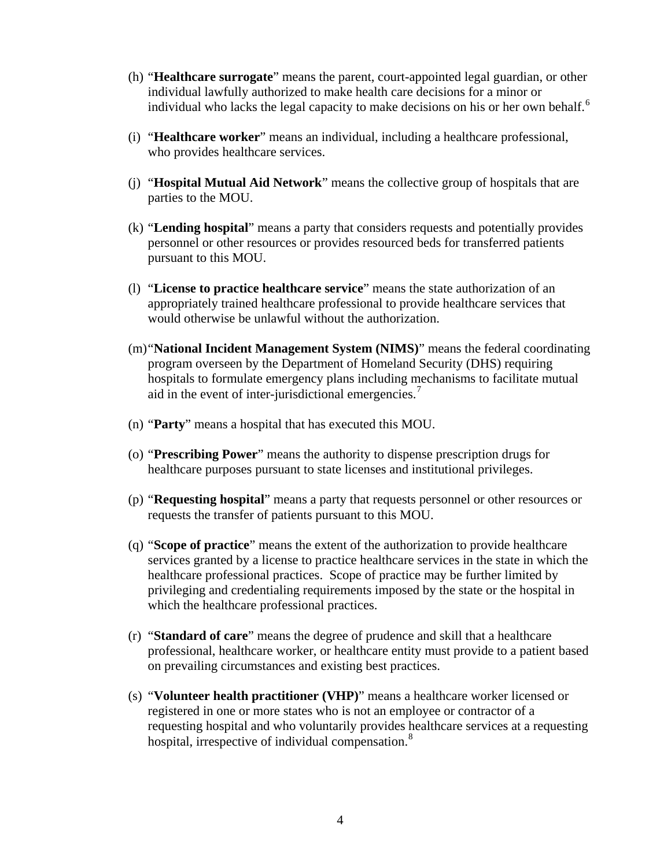- (h) "**Healthcare surrogate**" means the parent, court-appointed legal guardian, or other individual lawfully authorized to make health care decisions for a minor or individual who lacks the legal capacity to make decisions on his or her own behalf.<sup>[6](#page-18-1)</sup>
- (i) "**Healthcare worker**" means an individual, including a healthcare professional, who provides healthcare services.
- (j) "**Hospital Mutual Aid Network**" means the collective group of hospitals that are parties to the MOU.
- (k) "**Lending hospital**" means a party that considers requests and potentially provides personnel or other resources or provides resourced beds for transferred patients pursuant to this MOU.
- (l) "**License to practice healthcare service**" means the state authorization of an appropriately trained healthcare professional to provide healthcare services that would otherwise be unlawful without the authorization.
- (m)"**National Incident Management System (NIMS)**" means the federal coordinating program overseen by the Department of Homeland Security (DHS) requiring hospitals to formulate emergency plans including mechanisms to facilitate mutual aid in the event of inter-jurisdictional emergencies.<sup>[7](#page-18-1)</sup>
- (n) "**Party**" means a hospital that has executed this MOU.
- (o) "**Prescribing Power**" means the authority to dispense prescription drugs for healthcare purposes pursuant to state licenses and institutional privileges.
- (p) "**Requesting hospital**" means a party that requests personnel or other resources or requests the transfer of patients pursuant to this MOU.
- (q) "**Scope of practice**" means the extent of the authorization to provide healthcare services granted by a license to practice healthcare services in the state in which the healthcare professional practices. Scope of practice may be further limited by privileging and credentialing requirements imposed by the state or the hospital in which the healthcare professional practices.
- (r) "**Standard of care**" means the degree of prudence and skill that a healthcare professional, healthcare worker, or healthcare entity must provide to a patient based on prevailing circumstances and existing best practices.
- (s) "**Volunteer health practitioner (VHP)**" means a healthcare worker licensed or registered in one or more states who is not an employee or contractor of a requesting hospital and who voluntarily provides healthcare services at a requesting hospital, irrespective of individual compensation.<sup>[8](#page-18-1)</sup>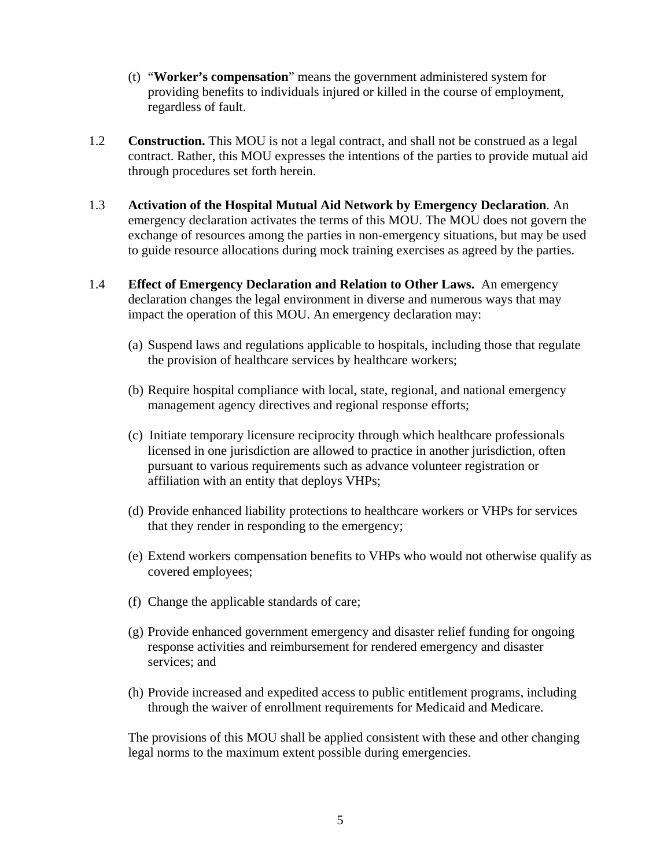- (t) "**Worker's compensation**" means the government administered system for providing benefits to individuals injured or killed in the course of employment, regardless of fault.
- 1.2 **Construction.** This MOU is not a legal contract, and shall not be construed as a legal contract. Rather, this MOU expresses the intentions of the parties to provide mutual aid through procedures set forth herein.
- 1.3 **Activation of the Hospital Mutual Aid Network by Emergency Declaration**. An emergency declaration activates the terms of this MOU. The MOU does not govern the exchange of resources among the parties in non-emergency situations, but may be used to guide resource allocations during mock training exercises as agreed by the parties.
- 1.4 **Effect of Emergency Declaration and Relation to Other Laws.** An emergency declaration changes the legal environment in diverse and numerous ways that may impact the operation of this MOU. An emergency declaration may:
	- (a) Suspend laws and regulations applicable to hospitals, including those that regulate the provision of healthcare services by healthcare workers;
	- (b) Require hospital compliance with local, state, regional, and national emergency management agency directives and regional response efforts;
	- (c) Initiate temporary licensure reciprocity through which healthcare professionals licensed in one jurisdiction are allowed to practice in another jurisdiction, often pursuant to various requirements such as advance volunteer registration or affiliation with an entity that deploys VHPs;
	- (d) Provide enhanced liability protections to healthcare workers or VHPs for services that they render in responding to the emergency;
	- (e) Extend workers compensation benefits to VHPs who would not otherwise qualify as covered employees;
	- (f) Change the applicable standards of care;
	- (g) Provide enhanced government emergency and disaster relief funding for ongoing response activities and reimbursement for rendered emergency and disaster services; and
	- (h) Provide increased and expedited access to public entitlement programs, including through the waiver of enrollment requirements for Medicaid and Medicare.

The provisions of this MOU shall be applied consistent with these and other changing legal norms to the maximum extent possible during emergencies.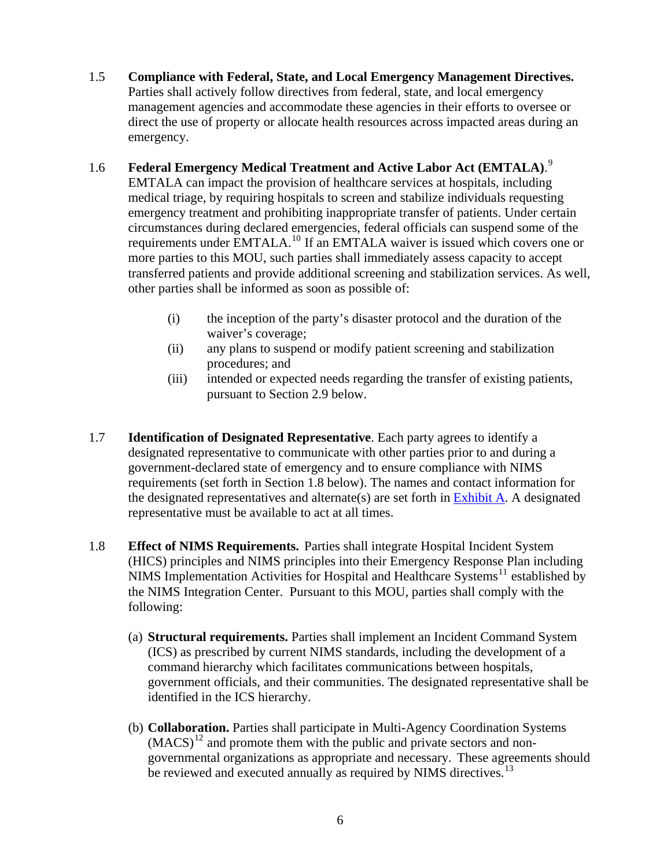<span id="page-5-0"></span>1.5 **Compliance with Federal, State, and Local Emergency Management Directives.** Parties shall actively follow directives from federal, state, and local emergency management agencies and accommodate these agencies in their efforts to oversee or direct the use of property or allocate health resources across impacted areas during an emergency.

### 1.6 **Federal Emergency Medical Treatment and Active Labor Act (EMTALA)**. [9](#page-18-1)

EMTALA can impact the provision of healthcare services at hospitals, including medical triage, by requiring hospitals to screen and stabilize individuals requesting emergency treatment and prohibiting inappropriate transfer of patients. Under certain circumstances during declared emergencies, federal officials can suspend some of the requirements under EMTALA.<sup>[10](#page-18-1)</sup> If an EMTALA waiver is issued which covers one or more parties to this MOU, such parties shall immediately assess capacity to accept transferred patients and provide additional screening and stabilization services. As well, other parties shall be informed as soon as possible of:

- (i) the inception of the party's disaster protocol and the duration of the waiver's coverage;
- (ii) any plans to suspend or modify patient screening and stabilization procedures; and
- (iii) intended or expected needs regarding the transfer of existing patients, pursuant to Section 2.9 below.
- 1.7 **Identification of Designated Representative**. Each party agrees to identify a designated representative to communicate with other parties prior to and during a government-declared state of emergency and to ensure compliance with NIMS requirements (set forth in Section 1.8 below). The names and contact information for the designated representatives and alternate(s) are set forth in [Exhibit A.](#page-13-0) A designated representative must be available to act at all times.
- 1.8 **Effect of NIMS Requirements.** Parties shall integrate Hospital Incident System (HICS) principles and NIMS principles into their Emergency Response Plan including NIMS Implementation Activities for Hospital and Healthcare Systems<sup>[11](#page-18-1)</sup> established by the NIMS Integration Center. Pursuant to this MOU, parties shall comply with the following:
	- (a) **Structural requirements.** Parties shall implement an Incident Command System (ICS) as prescribed by current NIMS standards, including the development of a command hierarchy which facilitates communications between hospitals, government officials, and their communities. The designated representative shall be identified in the ICS hierarchy.
	- (b) **Collaboration.** Parties shall participate in Multi-Agency Coordination Systems  $(MACS)^{12}$  $(MACS)^{12}$  $(MACS)^{12}$  and promote them with the public and private sectors and nongovernmental organizations as appropriate and necessary. These agreements should be reviewed and executed annually as required by NIMS directives.<sup>[13](#page-18-1)</sup>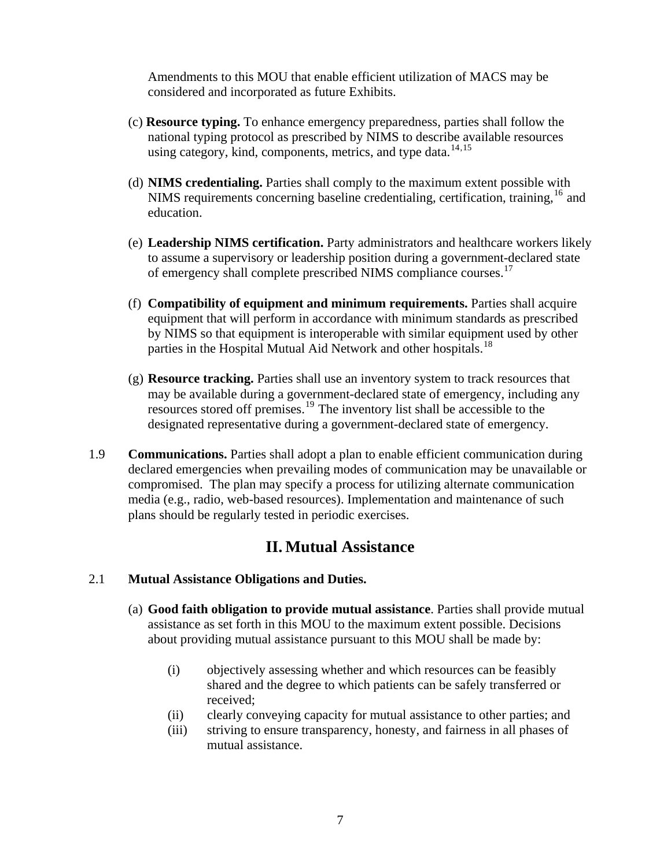Amendments to this MOU that enable efficient utilization of MACS may be considered and incorporated as future Exhibits.

- (c) **Resource typing.** To enhance emergency preparedness, parties shall follow the national typing protocol as prescribed by NIMS to describe available resources using category, kind, components, metrics, and type data.<sup>[14](#page-18-1),[15](#page-18-1)</sup>
- (d) **NIMS credentialing.** Parties shall comply to the maximum extent possible with NIMS requirements concerning baseline credentialing, certification, training,<sup>[16](#page-19-0)</sup> and education.
- (e) **Leadership NIMS certification.** Party administrators and healthcare workers likely to assume a supervisory or leadership position during a government-declared state of emergency shall complete prescribed NIMS compliance courses.<sup>[17](#page-19-0)</sup>
- (f) **Compatibility of equipment and minimum requirements.** Parties shall acquire equipment that will perform in accordance with minimum standards as prescribed by NIMS so that equipment is interoperable with similar equipment used by other parties in the Hospital Mutual Aid Network and other hospitals.<sup>[18](#page-19-0)</sup>
- (g) **Resource tracking.** Parties shall use an inventory system to track resources that may be available during a government-declared state of emergency, including any resources stored off premises.[19](#page-19-0) The inventory list shall be accessible to the designated representative during a government-declared state of emergency.
- 1.9 **Communications.** Parties shall adopt a plan to enable efficient communication during declared emergencies when prevailing modes of communication may be unavailable or compromised. The plan may specify a process for utilizing alternate communication media (e.g., radio, web-based resources). Implementation and maintenance of such plans should be regularly tested in periodic exercises.

## **II. Mutual Assistance**

#### 2.1 **Mutual Assistance Obligations and Duties.**

- (a) **Good faith obligation to provide mutual assistance**. Parties shall provide mutual assistance as set forth in this MOU to the maximum extent possible. Decisions about providing mutual assistance pursuant to this MOU shall be made by:
	- (i) objectively assessing whether and which resources can be feasibly shared and the degree to which patients can be safely transferred or received;
	- (ii) clearly conveying capacity for mutual assistance to other parties; and
	- (iii) striving to ensure transparency, honesty, and fairness in all phases of mutual assistance.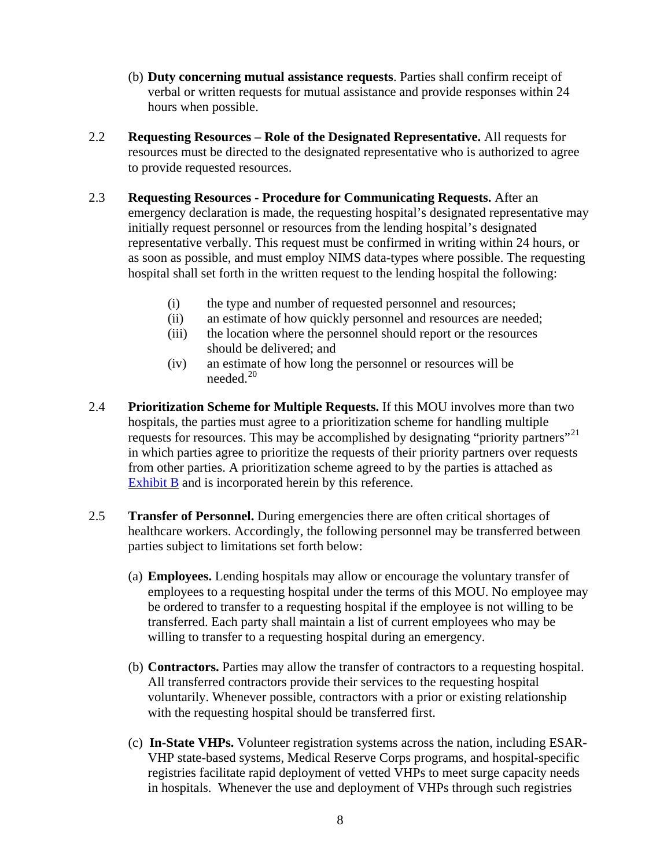- <span id="page-7-0"></span>(b) **Duty concerning mutual assistance requests**. Parties shall confirm receipt of verbal or written requests for mutual assistance and provide responses within 24 hours when possible.
- 2.2 **Requesting Resources Role of the Designated Representative.** All requests for resources must be directed to the designated representative who is authorized to agree to provide requested resources.
- 2.3 **Requesting Resources Procedure for Communicating Requests.** After an emergency declaration is made, the requesting hospital's designated representative may initially request personnel or resources from the lending hospital's designated representative verbally. This request must be confirmed in writing within 24 hours, or as soon as possible, and must employ NIMS data-types where possible. The requesting hospital shall set forth in the written request to the lending hospital the following:
	- (i) the type and number of requested personnel and resources;
	- (ii) an estimate of how quickly personnel and resources are needed;
	- (iii) the location where the personnel should report or the resources should be delivered; and
	- (iv) an estimate of how long the personnel or resources will be needed. $20$
- 2.4 **Prioritization Scheme for Multiple Requests.** If this MOU involves more than two hospitals, the parties must agree to a prioritization scheme for handling multiple requests for resources. This may be accomplished by designating "priority partners"<sup>[21](#page-19-0)</sup> in which parties agree to prioritize the requests of their priority partners over requests from other parties. A prioritization scheme agreed to by the parties is attached as [Exhibit B](#page-14-0) and is incorporated herein by this reference.
- 2.5 **Transfer of Personnel.** During emergencies there are often critical shortages of healthcare workers. Accordingly, the following personnel may be transferred between parties subject to limitations set forth below:
	- (a) **Employees.** Lending hospitals may allow or encourage the voluntary transfer of employees to a requesting hospital under the terms of this MOU. No employee may be ordered to transfer to a requesting hospital if the employee is not willing to be transferred. Each party shall maintain a list of current employees who may be willing to transfer to a requesting hospital during an emergency.
	- (b) **Contractors.** Parties may allow the transfer of contractors to a requesting hospital. All transferred contractors provide their services to the requesting hospital voluntarily. Whenever possible, contractors with a prior or existing relationship with the requesting hospital should be transferred first.
	- (c) **In-State VHPs.** Volunteer registration systems across the nation, including ESAR-VHP state-based systems, Medical Reserve Corps programs, and hospital-specific registries facilitate rapid deployment of vetted VHPs to meet surge capacity needs in hospitals. Whenever the use and deployment of VHPs through such registries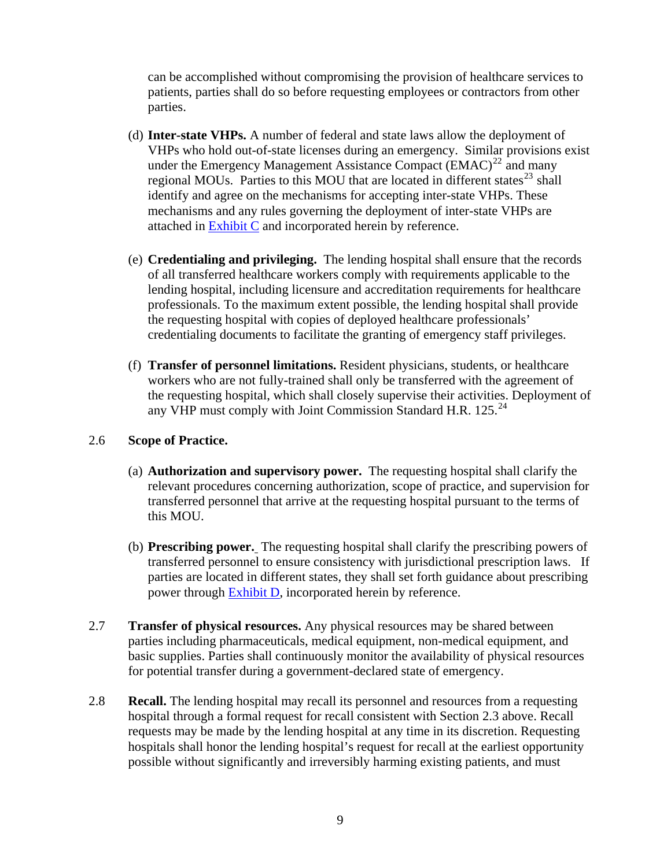<span id="page-8-0"></span>can be accomplished without compromising the provision of healthcare services to patients, parties shall do so before requesting employees or contractors from other parties.

- (d) **Inter-state VHPs.** A number of federal and state laws allow the deployment of VHPs who hold out-of-state licenses during an emergency. Similar provisions exist under the Emergency Management Assistance Compact  $\overline{(EMAC)}^{22}$  $\overline{(EMAC)}^{22}$  $\overline{(EMAC)}^{22}$  and many regional MOUs. Parties to this MOU that are located in different states $^{23}$  $^{23}$  $^{23}$  shall identify and agree on the mechanisms for accepting inter-state VHPs. These mechanisms and any rules governing the deployment of inter-state VHPs are attached in [Exhibit C](#page-15-0) and incorporated herein by reference.
- (e) **Credentialing and privileging.** The lending hospital shall ensure that the records of all transferred healthcare workers comply with requirements applicable to the lending hospital, including licensure and accreditation requirements for healthcare professionals. To the maximum extent possible, the lending hospital shall provide the requesting hospital with copies of deployed healthcare professionals' credentialing documents to facilitate the granting of emergency staff privileges.
- (f) **Transfer of personnel limitations.** Resident physicians, students, or healthcare workers who are not fully-trained shall only be transferred with the agreement of the requesting hospital, which shall closely supervise their activities. Deployment of any VHP must comply with Joint Commission Standard H.R.  $125.^{24}$  $125.^{24}$  $125.^{24}$

#### 2.6 **Scope of Practice.**

- (a) **Authorization and supervisory power.** The requesting hospital shall clarify the relevant procedures concerning authorization, scope of practice, and supervision for transferred personnel that arrive at the requesting hospital pursuant to the terms of this MOU.
- (b) **Prescribing power.** The requesting hospital shall clarify the prescribing powers of transferred personnel to ensure consistency with jurisdictional prescription laws. If parties are located in different states, they shall set forth guidance about prescribing power through [Exhibit D](#page-16-0), incorporated herein by reference.
- 2.7 **Transfer of physical resources.** Any physical resources may be shared between parties including pharmaceuticals, medical equipment, non-medical equipment, and basic supplies. Parties shall continuously monitor the availability of physical resources for potential transfer during a government-declared state of emergency.
- 2.8 **Recall.** The lending hospital may recall its personnel and resources from a requesting hospital through a formal request for recall consistent with Section 2.3 above. Recall requests may be made by the lending hospital at any time in its discretion. Requesting hospitals shall honor the lending hospital's request for recall at the earliest opportunity possible without significantly and irreversibly harming existing patients, and must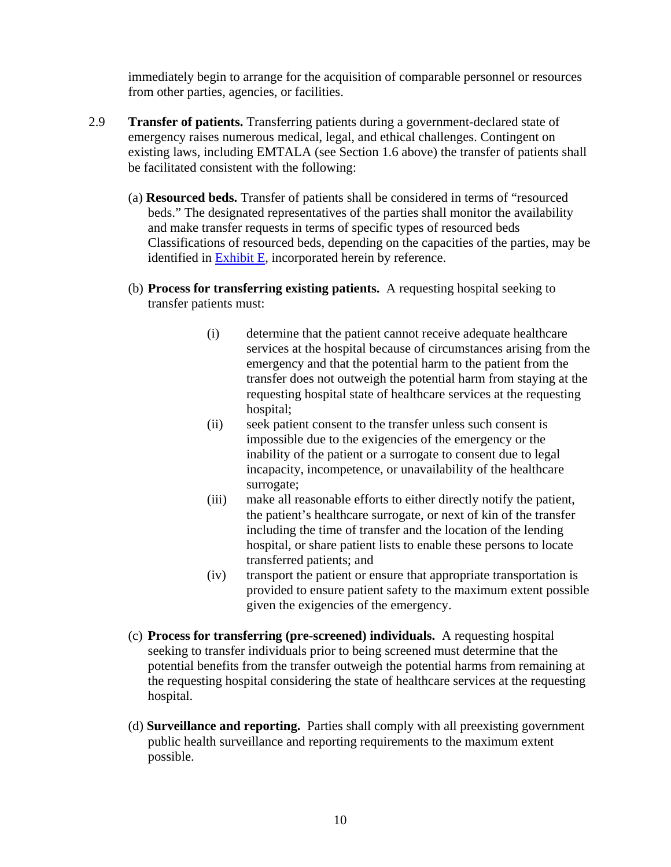immediately begin to arrange for the acquisition of comparable personnel or resources from other parties, agencies, or facilities.

- <span id="page-9-0"></span>2.9 **Transfer of patients.** Transferring patients during a government-declared state of emergency raises numerous medical, legal, and ethical challenges. Contingent on existing laws, including EMTALA (see Section 1.6 above) the transfer of patients shall be facilitated consistent with the following:
	- (a) **Resourced beds.** Transfer of patients shall be considered in terms of "resourced beds." The designated representatives of the parties shall monitor the availability and make transfer requests in terms of specific types of resourced beds Classifications of resourced beds, depending on the capacities of the parties, may be identified in  $\frac{Exhibit}{Ex}$ , incorporated herein by reference.
	- (b) **Process for transferring existing patients.** A requesting hospital seeking to transfer patients must:
		- (i) determine that the patient cannot receive adequate healthcare services at the hospital because of circumstances arising from the emergency and that the potential harm to the patient from the transfer does not outweigh the potential harm from staying at the requesting hospital state of healthcare services at the requesting hospital;
		- (ii) seek patient consent to the transfer unless such consent is impossible due to the exigencies of the emergency or the inability of the patient or a surrogate to consent due to legal incapacity, incompetence, or unavailability of the healthcare surrogate;
		- (iii) make all reasonable efforts to either directly notify the patient, the patient's healthcare surrogate, or next of kin of the transfer including the time of transfer and the location of the lending hospital, or share patient lists to enable these persons to locate transferred patients; and
		- (iv) transport the patient or ensure that appropriate transportation is provided to ensure patient safety to the maximum extent possible given the exigencies of the emergency.
	- (c) **Process for transferring (pre-screened) individuals.** A requesting hospital seeking to transfer individuals prior to being screened must determine that the potential benefits from the transfer outweigh the potential harms from remaining at the requesting hospital considering the state of healthcare services at the requesting hospital.
	- (d) **Surveillance and reporting.** Parties shall comply with all preexisting government public health surveillance and reporting requirements to the maximum extent possible.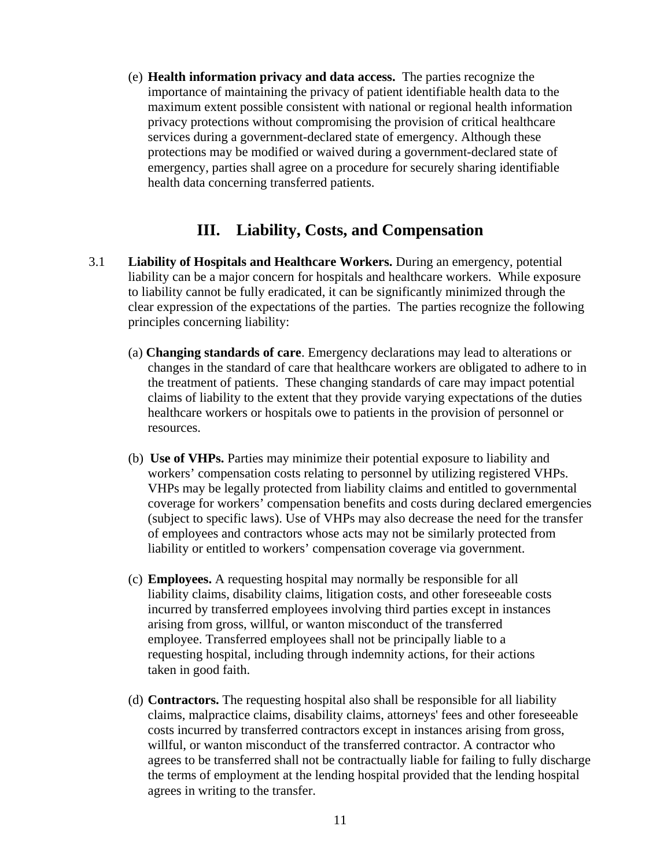(e) **Health information privacy and data access.** The parties recognize the importance of maintaining the privacy of patient identifiable health data to the maximum extent possible consistent with national or regional health information privacy protections without compromising the provision of critical healthcare services during a government-declared state of emergency. Although these protections may be modified or waived during a government-declared state of emergency, parties shall agree on a procedure for securely sharing identifiable health data concerning transferred patients.

## **III. Liability, Costs, and Compensation**

- 3.1 **Liability of Hospitals and Healthcare Workers.** During an emergency, potential liability can be a major concern for hospitals and healthcare workers. While exposure to liability cannot be fully eradicated, it can be significantly minimized through the clear expression of the expectations of the parties. The parties recognize the following principles concerning liability:
	- (a) **Changing standards of care**. Emergency declarations may lead to alterations or changes in the standard of care that healthcare workers are obligated to adhere to in the treatment of patients. These changing standards of care may impact potential claims of liability to the extent that they provide varying expectations of the duties healthcare workers or hospitals owe to patients in the provision of personnel or resources.
	- (b) **Use of VHPs.** Parties may minimize their potential exposure to liability and workers' compensation costs relating to personnel by utilizing registered VHPs. VHPs may be legally protected from liability claims and entitled to governmental coverage for workers' compensation benefits and costs during declared emergencies (subject to specific laws). Use of VHPs may also decrease the need for the transfer of employees and contractors whose acts may not be similarly protected from liability or entitled to workers' compensation coverage via government.
	- (c) **Employees.** A requesting hospital may normally be responsible for all liability claims, disability claims, litigation costs, and other foreseeable costs incurred by transferred employees involving third parties except in instances arising from gross, willful, or wanton misconduct of the transferred employee. Transferred employees shall not be principally liable to a requesting hospital, including through indemnity actions, for their actions taken in good faith.
	- (d) **Contractors.** The requesting hospital also shall be responsible for all liability claims, malpractice claims, disability claims, attorneys' fees and other foreseeable costs incurred by transferred contractors except in instances arising from gross, willful, or wanton misconduct of the transferred contractor. A contractor who agrees to be transferred shall not be contractually liable for failing to fully discharge the terms of employment at the lending hospital provided that the lending hospital agrees in writing to the transfer.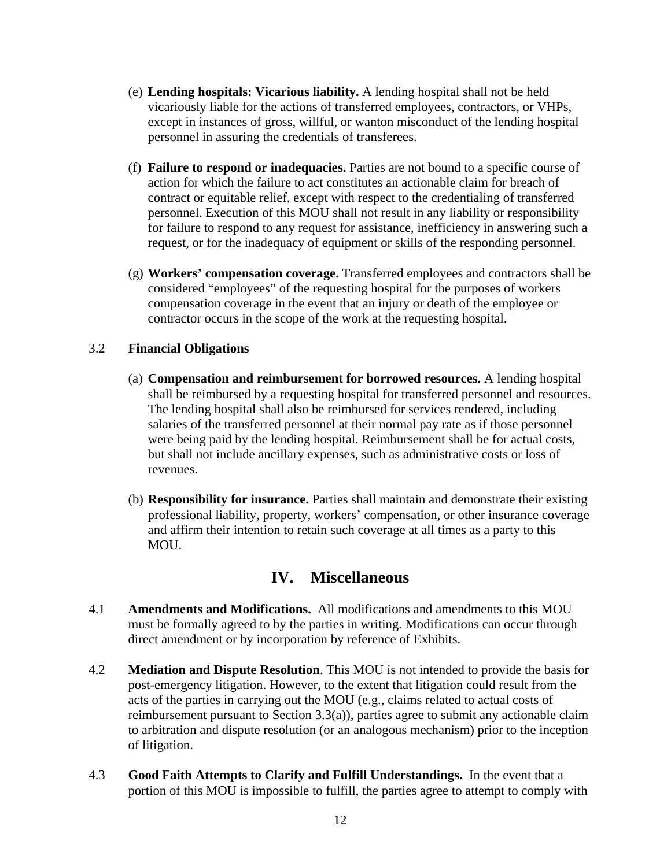- (e) **Lending hospitals: Vicarious liability.** A lending hospital shall not be held vicariously liable for the actions of transferred employees, contractors, or VHPs, except in instances of gross, willful, or wanton misconduct of the lending hospital personnel in assuring the credentials of transferees.
- (f) **Failure to respond or inadequacies.** Parties are not bound to a specific course of action for which the failure to act constitutes an actionable claim for breach of contract or equitable relief, except with respect to the credentialing of transferred personnel. Execution of this MOU shall not result in any liability or responsibility for failure to respond to any request for assistance, inefficiency in answering such a request, or for the inadequacy of equipment or skills of the responding personnel.
- (g) **Workers' compensation coverage.** Transferred employees and contractors shall be considered "employees" of the requesting hospital for the purposes of workers compensation coverage in the event that an injury or death of the employee or contractor occurs in the scope of the work at the requesting hospital.

#### 3.2 **Financial Obligations**

- (a) **Compensation and reimbursement for borrowed resources.** A lending hospital shall be reimbursed by a requesting hospital for transferred personnel and resources. The lending hospital shall also be reimbursed for services rendered, including salaries of the transferred personnel at their normal pay rate as if those personnel were being paid by the lending hospital. Reimbursement shall be for actual costs, but shall not include ancillary expenses, such as administrative costs or loss of revenues.
- (b) **Responsibility for insurance.** Parties shall maintain and demonstrate their existing professional liability, property, workers' compensation, or other insurance coverage and affirm their intention to retain such coverage at all times as a party to this MOU.

### **IV. Miscellaneous**

- 4.1 **Amendments and Modifications.** All modifications and amendments to this MOU must be formally agreed to by the parties in writing. Modifications can occur through direct amendment or by incorporation by reference of Exhibits.
- 4.2 **Mediation and Dispute Resolution**. This MOU is not intended to provide the basis for post-emergency litigation. However, to the extent that litigation could result from the acts of the parties in carrying out the MOU (e.g., claims related to actual costs of reimbursement pursuant to Section 3.3(a)), parties agree to submit any actionable claim to arbitration and dispute resolution (or an analogous mechanism) prior to the inception of litigation.
- 4.3 **Good Faith Attempts to Clarify and Fulfill Understandings.** In the event that a portion of this MOU is impossible to fulfill, the parties agree to attempt to comply with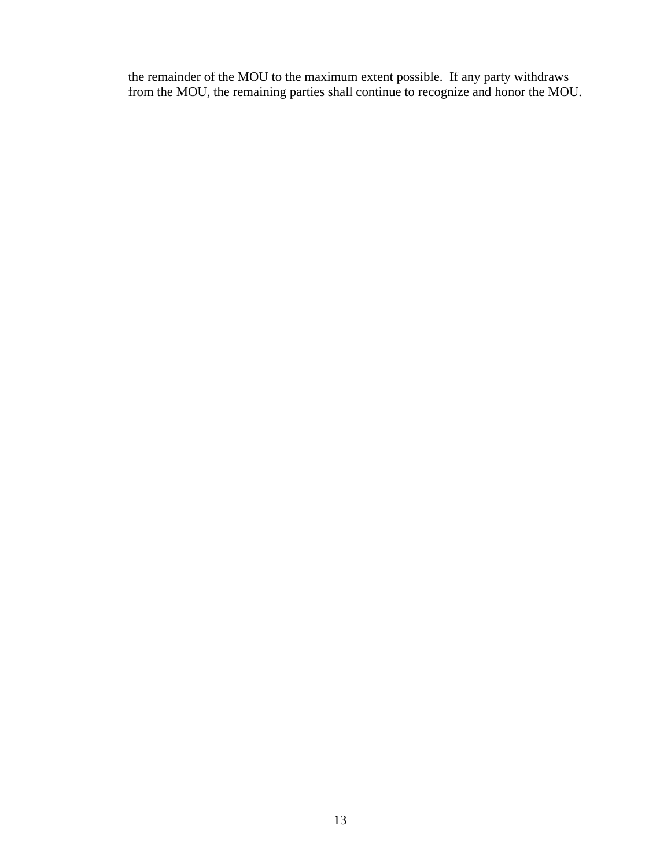the remainder of the MOU to the maximum extent possible. If any party withdraws from the MOU, the remaining parties shall continue to recognize and honor the MOU.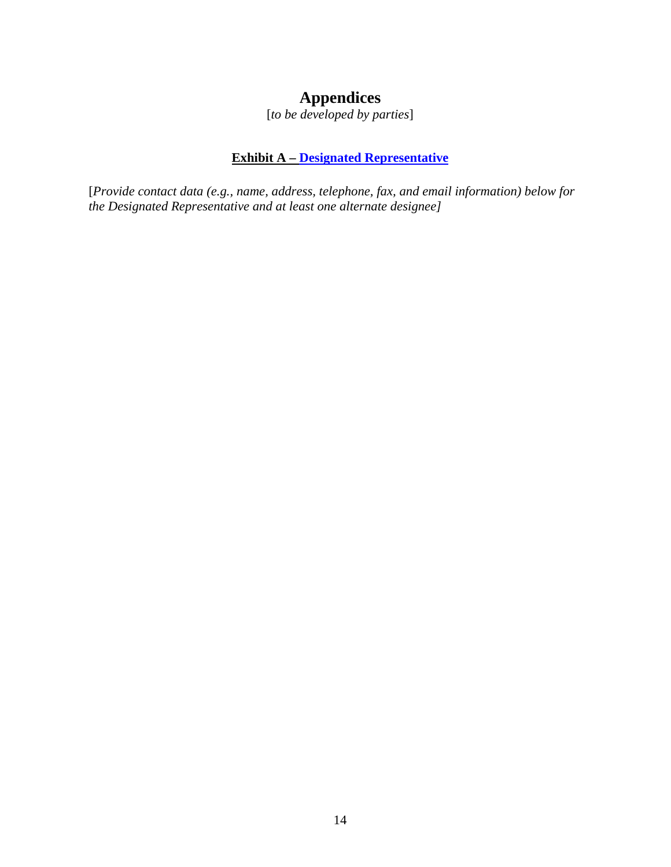# **Appendices**

[*to be developed by parties*]

### **Exhibit A – [Designated Representative](#page-5-0)**

<span id="page-13-0"></span>[*Provide contact data (e.g., name, address, telephone, fax, and email information) below for the Designated Representative and at least one alternate designee]*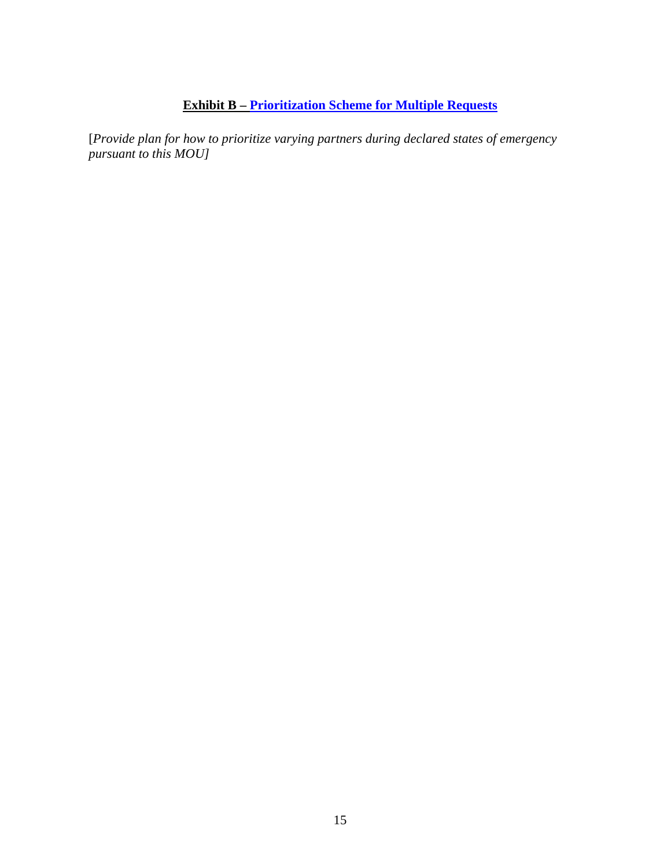# **Exhibit B – [Prioritization Scheme for Multiple Requests](#page-7-0)**

<span id="page-14-0"></span>[*Provide plan for how to prioritize varying partners during declared states of emergency pursuant to this MOU]*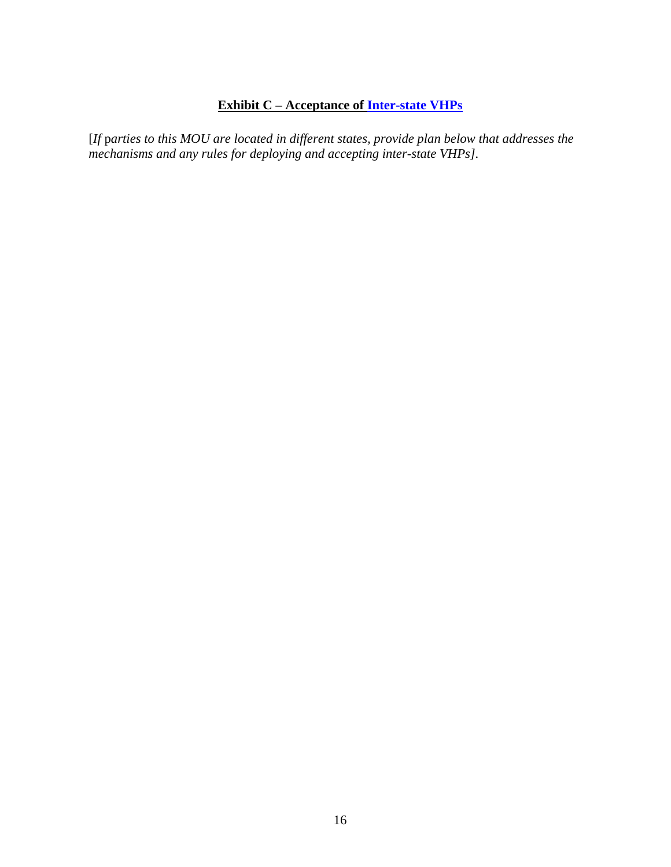# **Exhibit C – Acceptance of [Inter-state VHPs](#page-8-0)**

<span id="page-15-0"></span>[*If* p*arties to this MOU are located in different states, provide plan below that addresses the mechanisms and any rules for deploying and accepting inter-state VHPs].*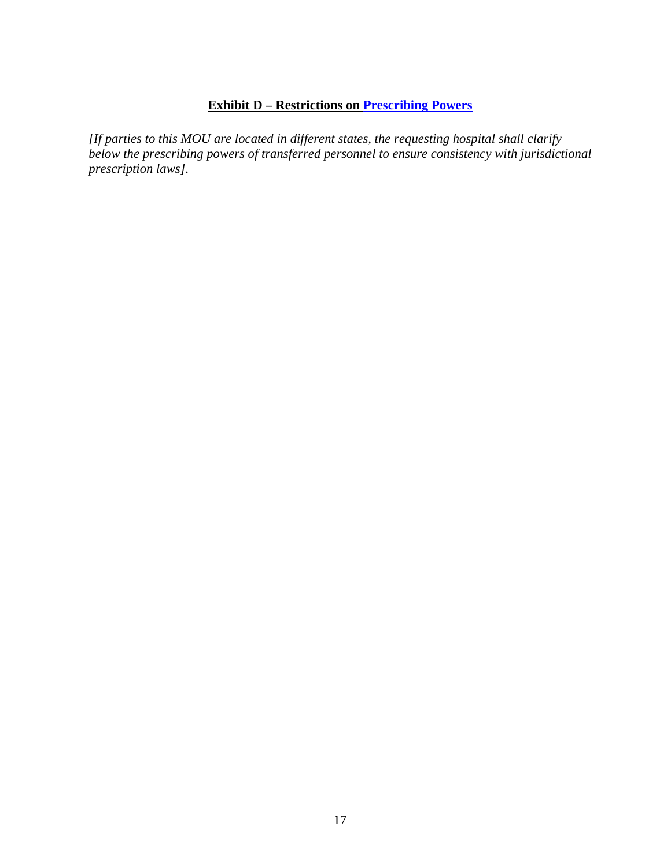### **Exhibit D – Restrictions on [Prescribing Powers](#page-8-0)**

<span id="page-16-0"></span>*[If parties to this MOU are located in different states, the requesting hospital shall clarify below the prescribing powers of transferred personnel to ensure consistency with jurisdictional prescription laws].*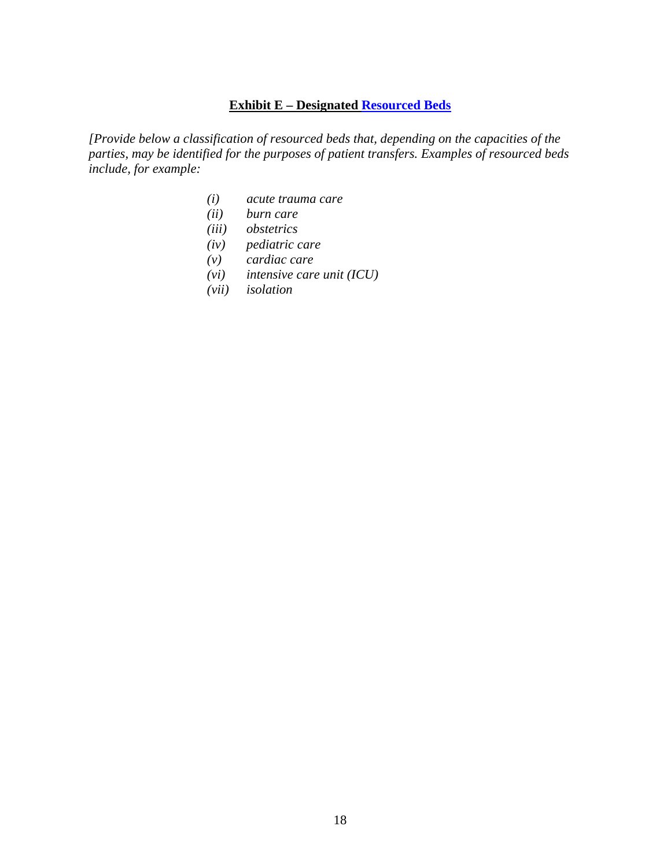### **Exhibit E – Designated [Resourced Beds](#page-9-0)**

<span id="page-17-0"></span>*[Provide below a classification of resourced beds that, depending on the capacities of the parties, may be identified for the purposes of patient transfers. Examples of resourced beds include, for example:* 

- *(i) acute trauma care*
- *(ii) burn care*
- *(iii) obstetrics*
- *(iv) pediatric care*
- *(v) cardiac care*
- *(vi) intensive care unit (ICU)*
- *(vii) isolation*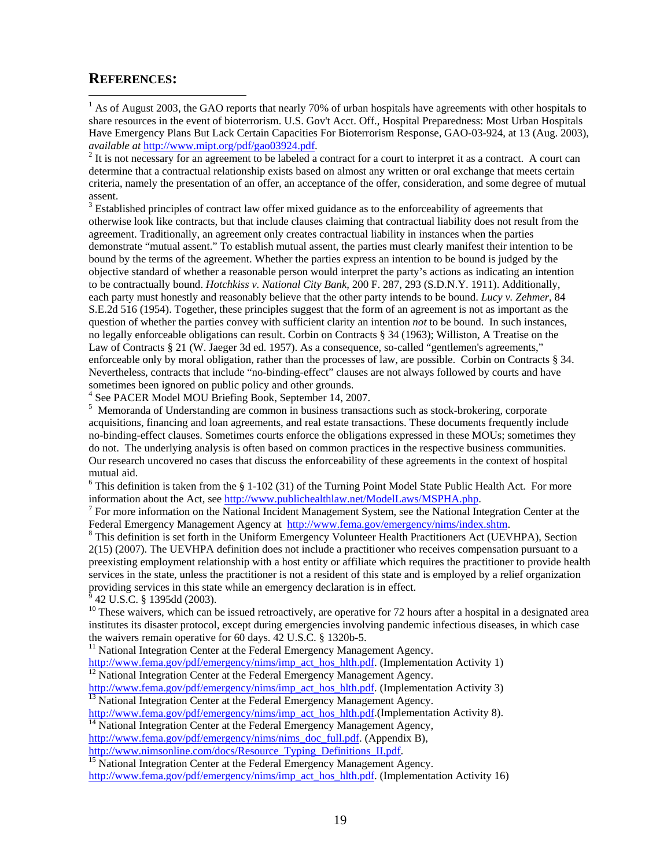#### <span id="page-18-1"></span>**REFERENCES:**

 $\overline{a}$ 

<span id="page-18-0"></span> $<sup>1</sup>$  As of August 2003, the GAO reports that nearly 70% of urban hospitals have agreements with other hospitals to</sup> share resources in the event of bioterrorism. U.S. Gov't Acct. Off., Hospital Preparedness: Most Urban Hospitals Have Emergency Plans But Lack Certain Capacities For Bioterrorism Response, GAO-03-924, at 13 (Aug. 2003), *available at* <http://www.mipt.org/pdf/gao03924.pdf>. 2

 $<sup>2</sup>$  It is not necessary for an agreement to be labeled a contract for a court to interpret it as a contract. A court can</sup> determine that a contractual relationship exists based on almost any written or oral exchange that meets certain criteria, namely the presentation of an offer, an acceptance of the offer, consideration, and some degree of mutual assent.

 $3$  Established principles of contract law offer mixed guidance as to the enforceability of agreements that otherwise look like contracts, but that include clauses claiming that contractual liability does not result from the agreement. Traditionally, an agreement only creates contractual liability in instances when the parties demonstrate "mutual assent." To establish mutual assent, the parties must clearly manifest their intention to be bound by the terms of the agreement. Whether the parties express an intention to be bound is judged by the objective standard of whether a reasonable person would interpret the party's actions as indicating an intention to be contractually bound. *Hotchkiss v. National City Bank*, 200 F. 287, 293 (S.D.N.Y. 1911). Additionally, each party must honestly and reasonably believe that the other party intends to be bound. *Lucy v. Zehmer*, 84 S.E.2d 516 (1954). Together, these principles suggest that the form of an agreement is not as important as the question of whether the parties convey with sufficient clarity an intention *not* to be bound. In such instances, no legally enforceable obligations can result. Corbin on Contracts § 34 (1963); Williston, A Treatise on the Law of Contracts § 21 (W. Jaeger 3d ed. 1957). As a consequence, so-called "gentlemen's agreements," enforceable only by moral obligation, rather than the processes of law, are possible. Corbin on Contracts § 34. Nevertheless, contracts that include "no-binding-effect" clauses are not always followed by courts and have sometimes been ignored on public policy and other grounds.

4 See PACER Model MOU Briefing Book, September 14, 2007.

<sup>5</sup> Memoranda of Understanding are common in business transactions such as stock-brokering, corporate acquisitions, financing and loan agreements, and real estate transactions. These documents frequently include no-binding-effect clauses. Sometimes courts enforce the obligations expressed in these MOUs; sometimes they do not. The underlying analysis is often based on common practices in the respective business communities. Our research uncovered no cases that discuss the enforceability of these agreements in the context of hospital mutual aid.

 $6$  This definition is taken from the § 1-102 (31) of the Turning Point Model State Public Health Act. For more information about the Act, see [http://www.publichealthlaw.net/ModelLaws/MSPHA.php.](http://www.publichealthlaw.net/ModelLaws/MSPHA.php)

 $^7$  For more information on the National Incident Management System, see the National Integration Center at the Federal Emergency Management Agency at <http://www.fema.gov/emergency/nims/index.shtm>.

<sup>8</sup> This definition is set forth in the Uniform Emergency Volunteer Health Practitioners Act (UEVHPA), Section 2(15) (2007). The UEVHPA definition does not include a practitioner who receives compensation pursuant to a preexisting employment relationship with a host entity or affiliate which requires the practitioner to provide health services in the state, unless the practitioner is not a resident of this state and is employed by a relief organization providing services in this state while an emergency declaration is in effect.

42 U.S.C. § 1395dd (2003).

<sup>10</sup> These waivers, which can be issued retroactively, are operative for 72 hours after a hospital in a designated area institutes its disaster protocol, except during emergencies involving pandemic infectious diseases, in which case the waivers remain operative for 60 days. 42 U.S.C. § 1320b-5.

 $11$  National Integration Center at the Federal Emergency Management Agency.

[http://www.fema.gov/pdf/emergency/nims/imp\\_act\\_hos\\_hlth.pdf.](http://www.fema.gov/pdf/emergency/nims/imp_act_hos_hlth.pdf) (Implementation Activity 1)<br><sup>[12](http://www.fema.gov/pdf/emergency/nims/imp_act_hos_hlth.pdf)</sup> National Integration Center at the Federal Emergency Management Agency.<br>http://www.fema.gov/pdf/emergency/nims/imp\_act\_hos\_hlth.

 $\frac{13}{13}$  $\frac{13}{13}$  $\frac{13}{13}$  National Integration Center at the Federal Emergency Management Agency.<br>[http://www.fema.gov/pdf/emergency/nims/imp\\_act\\_hos\\_hlth.pdf.](http://www.fema.gov/pdf/emergency/nims/imp_act_hos_hlth.pdf) (Implementation Activity 8).

<sup>[14](http://www.fema.gov/pdf/emergency/nims/imp_act_hos_hlth.pdf)</sup> National Integration Center at the Federal Emergency Management Agency,

[http://www.fema.gov/pdf/emergency/nims/nims\\_doc\\_full.pdf.](http://www.fema.gov/pdf/emergency/nims/nims_doc_full.pdf) (Appendix B), http://www.nimsonline.com/docs/Resource Typing Definitions II.pdf.

<sup>[15](http://www.nimsonline.com/docs/Resource_Typing_Definitions_II.pdf)</sup> National Integration Center at the Federal Emergency Management Agency.

[http://www.fema.gov/pdf/emergency/nims/imp\\_act\\_hos\\_hlth.pdf.](http://www.fema.gov/pdf/emergency/nims/imp_act_hos_hlth.pdf) (Implementation Activity 16)